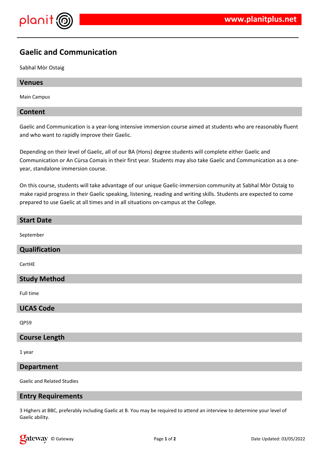

# **Gaelic and Communication**

Sabhal Mòr Ostaig

# **Venues**

Main Campus

### **Content**

Gaelic and Communication is a year-long intensive immersion course aimed at students who are reasonably fluent and who want to rapidly improve their Gaelic.

Depending on their level of Gaelic, all of our BA (Hons) degree students will complete either Gaelic and Communication or An Cùrsa Comais in their first year. Students may also take Gaelic and Communication as a oneyear, standalone immersion course.

On this course, students will take advantage of our unique Gaelic-immersion community at Sabhal Mòr Ostaig to make rapid progress in their Gaelic speaking, listening, reading and writing skills. Students are expected to come prepared to use Gaelic at all times and in all situations on-campus at the College.

# **Start Date**

September

# **Qualification**

CertHE

# **Study Method**

Full time

#### **UCAS Code**

QP59

# **Course Length**

1 year

#### **Department**

Gaelic and Related Studies

#### **Entry Requirements**

3 Highers at BBC, preferably including Gaelic at B. You may be required to attend an interview to determine your level of Gaelic ability.